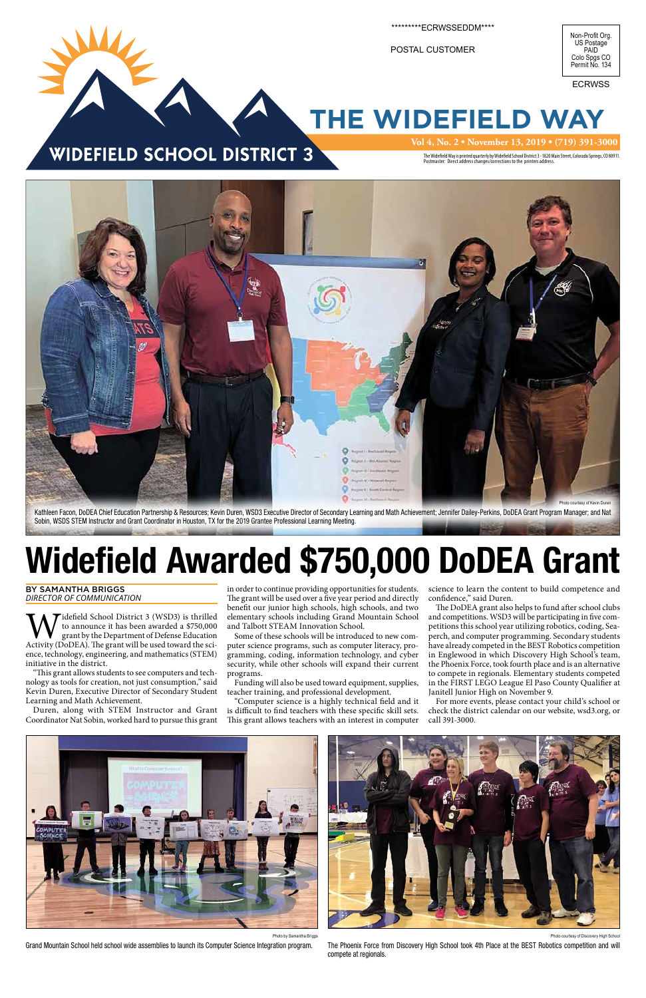## **THE WIDEFIELD WAY**

### WIDEFIELD SCHOOL DISTRICT 3

**Vol 4, No. 2 • November 13, 2019 • (719) 391-3000**

The Widefield Way is printed quarterly by Widefield School District 3 - 1820 Main Street, Colorado Springs, CO 80911.<br>Postmaster: Direct address changes/corrections to the printers address.



\*\*\*ECRWSSEDDM\*\*\*\*

POSTAL CUSTOMER

Widefield School District 3 (WSD3) is thrilled<br>to announce it has been awarded a \$750,000<br>Activity (DoDEA). The grant will be used toward the scito announce it has been awarded a \$750,000 grant by the Department of Defense Education ence, technology, engineering, and mathematics (STEM) initiative in the district.

ECRWSS

BY SAMANTHA BRIGGS *DIRECTOR OF COMMUNICATION*

"This grant allows students to see computers and technology as tools for creation, not just consumption," said Kevin Duren, Executive Director of Secondary Student Learning and Math Achievement.

science to learn the content to build competence and confidence," said Duren.

Duren, along with STEM Instructor and Grant Coordinator Nat Sobin, worked hard to pursue this grant

in order to continue providing opportunities for students. The grant will be used over a five year period and directly benefit our junior high schools, high schools, and two elementary schools including Grand Mountain School and Talbott STEAM Innovation School.

The DoDEA grant also helps to fund after school clubs and competitions. WSD3 will be participating in five competitions this school year utilizing robotics, coding, Seaperch, and computer programming. Secondary students have already competed in the BEST Robotics competition in Englewood in which Discovery High School's team, the Phoenix Force, took fourth place and is an alternative to compete in regionals. Elementary students competed in the FIRST LEGO League El Paso County Qualifier at Janitell Junior High on November 9.

Some of these schools will be introduced to new computer science programs, such as computer literacy, programming, coding, information technology, and cyber security, while other schools will expand their current programs.

Kathleen Facon, DoDEA Chief Education Partnership & Resources; Kevin Duren, WSD3 Executive Director of Secondary Learning and Math Achievement; Jennifer Dailey-Perkins, DoDEA Grant Program Manager; and Nat Sobin, WSDS STEM Instructor and Grant Coordinator in Houston, TX for the 2019 Grantee Professional Learning Meeting.

> Funding will also be used toward equipment, supplies, teacher training, and professional development.

> 'Computer science is a highly technical field and it is difficult to find teachers with these specific skill sets. This grant allows teachers with an interest in computer

For more events, please contact your child's school or check the district calendar on our website, wsd3.org, or call 391-3000.



## Widefield Awarded \$750,000 DoDEA Grant



Photo by Samantha Briggs

Grand Mountain School held school wide assemblies to launch its Computer Science Integration program.

esy of Discovery High School

The Phoenix Force from Discovery High School took 4th Place at the BEST Robotics competition and will compete at regionals.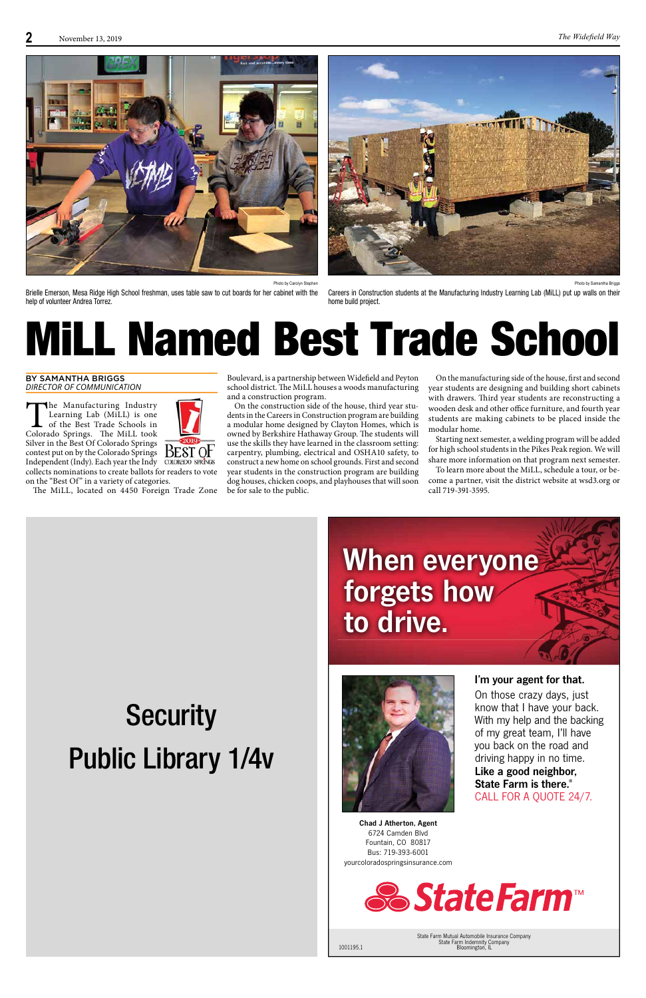



On those crazy days, just know that I have your back. With my help and the backing of my great team, I'll have you back on the road and driving happy in no time. Like a good neighbor, State Farm is there.® CALL FOR A QUOTE 24/7.



COLORADO SPRINGS

## When everyone forgets how to drive.



I'm your agent for that.

1001195.1

State Farm Mutual Automobile Insurance Company State Farm Indemnity Company

*&StateFarm***™** 

Bloomington, IL

Chad J Atherton, Agent 6724 Camden Blvd Fountain, CO 80817 Bus: 719-393-6001 yourcoloradospringsinsurance.com

The Manufacturing Industry<br>Learning Lab (MiLL) is one<br>of the Best Trade Schools in<br>Colorado Springs. The MiLL took Learning Lab (MiLL) is one of the Best Trade Schools in Silver in the Best Of Colorado Springs contest put on by the Colorado Springs Independent (Indy). Each year the Indy collects nominations to create ballots for readers to vote on the "Best Of" in a variety of categories.

The MiLL, located on 4450 Foreign Trade Zone

## Public Library 1/4v

**Security** 

## MiLL Named Best Trade School

BY SAMANTHA BRIGGS *DIRECTOR OF COMMUNICATION*

On the manufacturing side of the house, first and second year students are designing and building short cabinets with drawers. Third year students are reconstructing a wooden desk and other office furniture, and fourth year students are making cabinets to be placed inside the modular home.



On the construction side of the house, third year students in the Careers in Construction program are building a modular home designed by Clayton Homes, which is owned by Berkshire Hathaway Group. The students will use the skills they have learned in the classroom setting: carpentry, plumbing, electrical and OSHA10 safety, to construct a new home on school grounds. First and second year students in the construction program are building dog houses, chicken coops, and playhouses that will soon be for sale to the public.

Starting next semester, a welding program will be added for high school students in the Pikes Peak region. We will share more information on that program next semester.

To learn more about the MiLL, schedule a tour, or become a partner, visit the district website at wsd3.org or call 719-391-3595.

Photo by Carolyn Stephen

Brielle Emerson, Mesa Ridge High School freshman, uses table saw to cut boards for her cabinet with the help of volunteer Andrea Torrez.

Photo by Samantha Briggs

Careers in Construction students at the Manufacturing Industry Learning Lab (MiLL) put up walls on their home build project.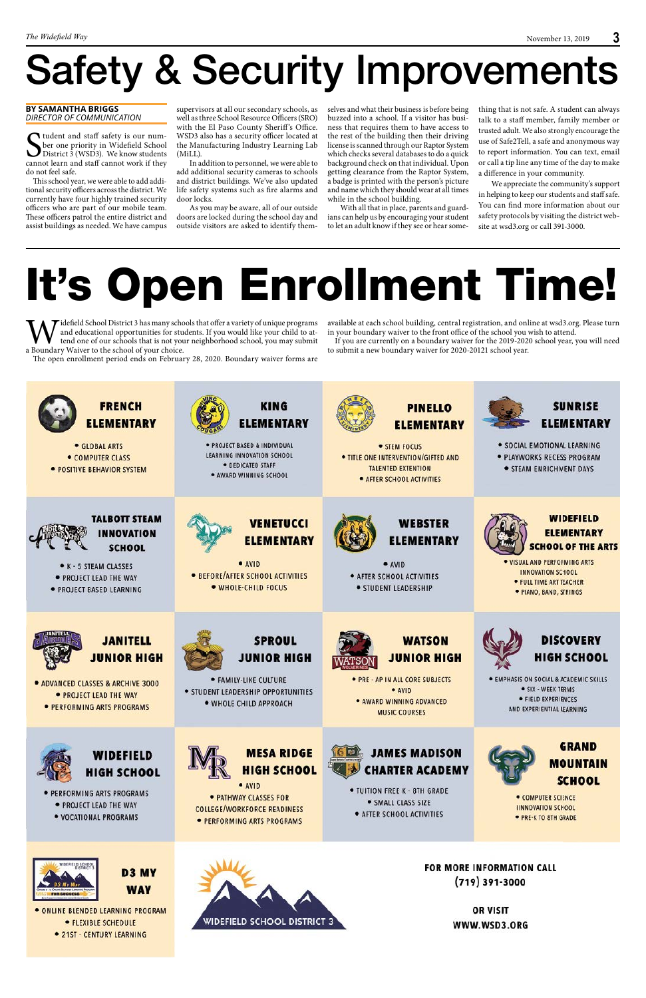# Safety & Security Improvements

# It's Open Enrollment Time!

#### **BY SAMANTHA BRIGGS** *DIRECTOR OF COMMUNICATION*

Sudent and staff safety is our num-<br>District 3 (WSD3). We know students<br>cannot learn and staff cannot work if they ber one priority in Widefield School District 3 (WSD3). We know students cannot learn and staff cannot work if they do not feel safe.

This school year, we were able to add additional security officers across the district. We currently have four highly trained security officers who are part of our mobile team. These officers patrol the entire district and assist buildings as needed. We have campus

supervisors at all our secondary schools, as well as three School Resource Officers (SRO) with the El Paso County Sheriff's Office. WSD3 also has a security officer located at the Manufacturing Industry Learning Lab (MiLL).

thing that is not safe. A student can always talk to a staff member, family member or trusted adult. We also strongly encourage the use of Safe2Tell, a safe and anonymous way to report information. You can text, email or call a tip line any time of the day to make a difference in your community.

In addition to personnel, we were able to add additional security cameras to schools and district buildings. We've also updated life safety systems such as fire alarms and door locks.

As you may be aware, all of our outside doors are locked during the school day and outside visitors are asked to identify them-

Widefield School District 3 has many schools that offer a variety of unique programs<br>and educational opportunities for students. If you would like your child to at-<br>tend one of our schools that is not your neighborhood sch and educational opportunities for students. If you would like your child to attend one of our schools that is not your neighborhood school, you may submit a Boundary Waiver to the school of your choice.

The open enrollment period ends on February 28, 2020. Boundary waiver forms are

available at each school building, central registration, and online at wsd3.org. Please turn in your boundary waiver to the front office of the school you wish to attend.

selves and what their business is before being buzzed into a school. If a visitor has business that requires them to have access to the rest of the building then their driving license is scanned through our Raptor System which checks several databases to do a quick background check on that individual. Upon getting clearance from the Raptor System, a badge is printed with the person's picture and name which they should wear at all times while in the school building.

With all that in place, parents and guardians can help us by encouraging your student to let an adult know if they see or hear some-

We appreciate the community's support in helping to keep our students and staff safe. You can find more information about our safety protocols by visiting the district website at wsd3.org or call 391-3000.

If you are currently on a boundary waiver for the 2019-2020 school year, you will need to submit a new boundary waiver for 2020-20121 school year.







- · PERFORMING ARTS PROGRAMS
	- · PROJECT LEAD THE WAY
	- · VOCATIONAL PROGRAMS



• PATHWAY CLASSES FOR **COLLEGE/WORKFORCE READINESS** · PERFORMING ARTS PROGRAMS



. TUITION FREE K - 8TH GRADE · SMALL CLASS SIZE · AFTER SCHOOL ACTIVITIES



**GRAND MOUNTAIN SCHOOL** 

· COMPUTER SCIENCE **IINNOVATION SCHOOL** · PRE-K TO 8TH GRADE



- D<sub>3</sub> MY **WAY**
- · ONLINE BLENDED LEARNING PROGRAM · FLEXIBLE SCHEDULE · 21ST - CENTURY LEARNING



FOR MORE INFORMATION CALL  $(719)$  391-3000

> **OR VISIT** WWW.WSD3.ORG